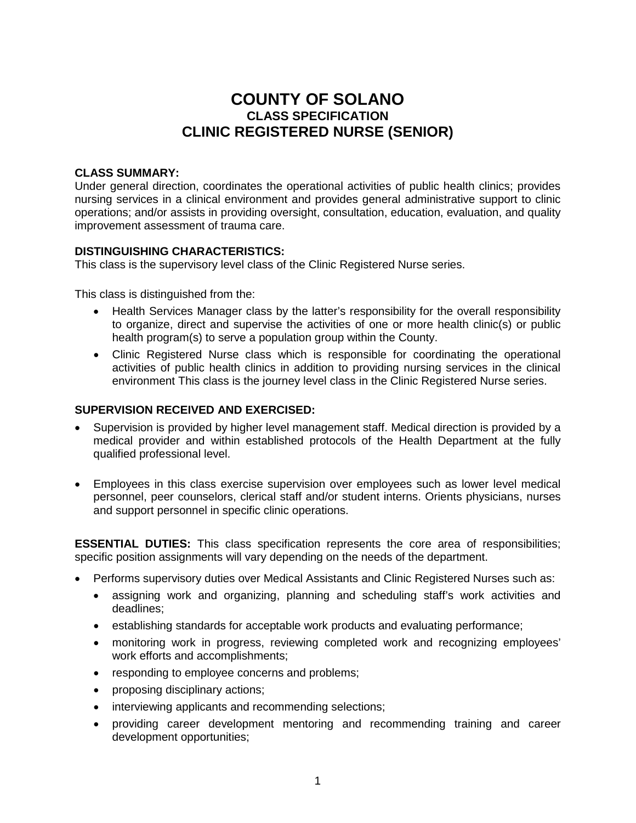# **COUNTY OF SOLANO CLASS SPECIFICATION CLINIC REGISTERED NURSE (SENIOR)**

### **CLASS SUMMARY:**

Under general direction, coordinates the operational activities of public health clinics; provides nursing services in a clinical environment and provides general administrative support to clinic operations; and/or assists in providing oversight, consultation, education, evaluation, and quality improvement assessment of trauma care.

### **DISTINGUISHING CHARACTERISTICS:**

This class is the supervisory level class of the Clinic Registered Nurse series.

This class is distinguished from the:

- Health Services Manager class by the latter's responsibility for the overall responsibility to organize, direct and supervise the activities of one or more health clinic(s) or public health program(s) to serve a population group within the County.
- Clinic Registered Nurse class which is responsible for coordinating the operational activities of public health clinics in addition to providing nursing services in the clinical environment This class is the journey level class in the Clinic Registered Nurse series.

#### **SUPERVISION RECEIVED AND EXERCISED:**

- Supervision is provided by higher level management staff. Medical direction is provided by a medical provider and within established protocols of the Health Department at the fully qualified professional level.
- Employees in this class exercise supervision over employees such as lower level medical personnel, peer counselors, clerical staff and/or student interns. Orients physicians, nurses and support personnel in specific clinic operations.

**ESSENTIAL DUTIES:** This class specification represents the core area of responsibilities; specific position assignments will vary depending on the needs of the department.

- Performs supervisory duties over Medical Assistants and Clinic Registered Nurses such as:
	- assigning work and organizing, planning and scheduling staff's work activities and deadlines;
	- establishing standards for acceptable work products and evaluating performance;
	- monitoring work in progress, reviewing completed work and recognizing employees' work efforts and accomplishments;
	- responding to employee concerns and problems;
	- proposing disciplinary actions;
	- interviewing applicants and recommending selections;
	- providing career development mentoring and recommending training and career development opportunities;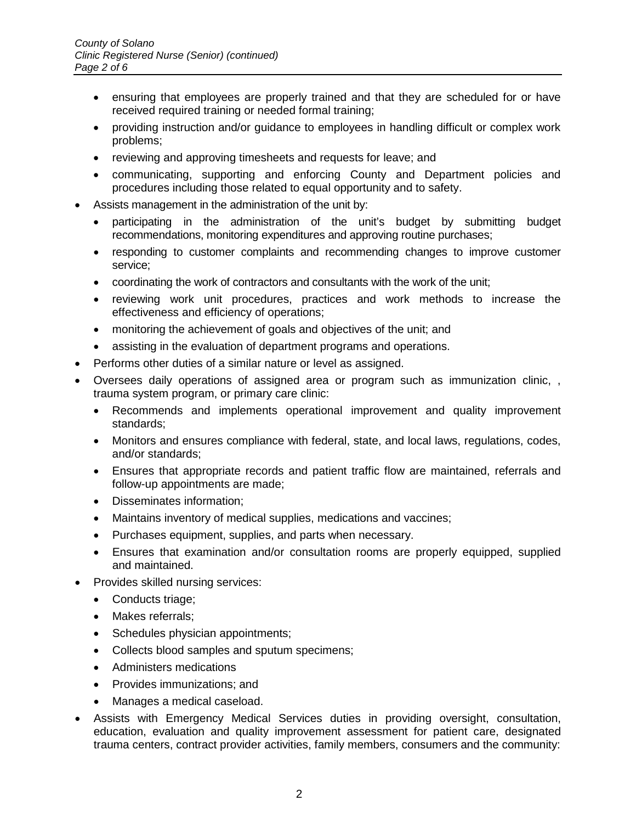- ensuring that employees are properly trained and that they are scheduled for or have received required training or needed formal training;
- providing instruction and/or guidance to employees in handling difficult or complex work problems;
- reviewing and approving timesheets and requests for leave; and
- communicating, supporting and enforcing County and Department policies and procedures including those related to equal opportunity and to safety.
- Assists management in the administration of the unit by:
	- participating in the administration of the unit's budget by submitting budget recommendations, monitoring expenditures and approving routine purchases;
	- responding to customer complaints and recommending changes to improve customer service;
	- coordinating the work of contractors and consultants with the work of the unit;
	- reviewing work unit procedures, practices and work methods to increase the effectiveness and efficiency of operations;
	- monitoring the achievement of goals and objectives of the unit; and
	- assisting in the evaluation of department programs and operations.
- Performs other duties of a similar nature or level as assigned.
- Oversees daily operations of assigned area or program such as immunization clinic, , trauma system program, or primary care clinic:
	- Recommends and implements operational improvement and quality improvement standards;
	- Monitors and ensures compliance with federal, state, and local laws, regulations, codes, and/or standards;
	- Ensures that appropriate records and patient traffic flow are maintained, referrals and follow-up appointments are made;
	- Disseminates information;
	- Maintains inventory of medical supplies, medications and vaccines;
	- Purchases equipment, supplies, and parts when necessary.
	- Ensures that examination and/or consultation rooms are properly equipped, supplied and maintained.
- Provides skilled nursing services:
	- Conducts triage;
	- Makes referrals;
	- Schedules physician appointments;
	- Collects blood samples and sputum specimens;
	- Administers medications
	- Provides immunizations; and
	- Manages a medical caseload.
- Assists with Emergency Medical Services duties in providing oversight, consultation, education, evaluation and quality improvement assessment for patient care, designated trauma centers, contract provider activities, family members, consumers and the community: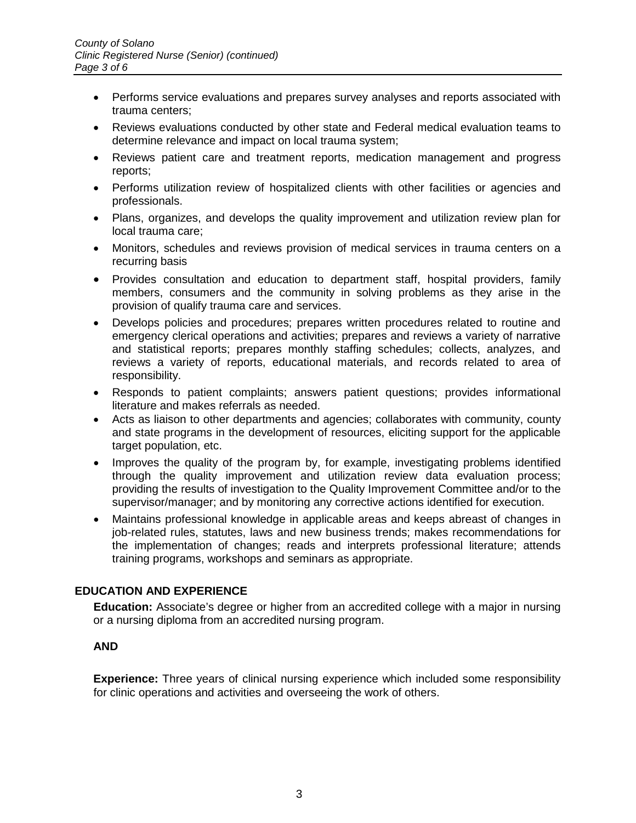- Performs service evaluations and prepares survey analyses and reports associated with trauma centers;
- Reviews evaluations conducted by other state and Federal medical evaluation teams to determine relevance and impact on local trauma system;
- Reviews patient care and treatment reports, medication management and progress reports;
- Performs utilization review of hospitalized clients with other facilities or agencies and professionals.
- Plans, organizes, and develops the quality improvement and utilization review plan for local trauma care;
- Monitors, schedules and reviews provision of medical services in trauma centers on a recurring basis
- Provides consultation and education to department staff, hospital providers, family members, consumers and the community in solving problems as they arise in the provision of qualify trauma care and services.
- Develops policies and procedures; prepares written procedures related to routine and emergency clerical operations and activities; prepares and reviews a variety of narrative and statistical reports; prepares monthly staffing schedules; collects, analyzes, and reviews a variety of reports, educational materials, and records related to area of responsibility.
- Responds to patient complaints; answers patient questions; provides informational literature and makes referrals as needed.
- Acts as liaison to other departments and agencies; collaborates with community, county and state programs in the development of resources, eliciting support for the applicable target population, etc.
- Improves the quality of the program by, for example, investigating problems identified through the quality improvement and utilization review data evaluation process; providing the results of investigation to the Quality Improvement Committee and/or to the supervisor/manager; and by monitoring any corrective actions identified for execution.
- Maintains professional knowledge in applicable areas and keeps abreast of changes in job-related rules, statutes, laws and new business trends; makes recommendations for the implementation of changes; reads and interprets professional literature; attends training programs, workshops and seminars as appropriate.

## **EDUCATION AND EXPERIENCE**

**Education:** Associate's degree or higher from an accredited college with a major in nursing or a nursing diploma from an accredited nursing program.

### **AND**

**Experience:** Three years of clinical nursing experience which included some responsibility for clinic operations and activities and overseeing the work of others.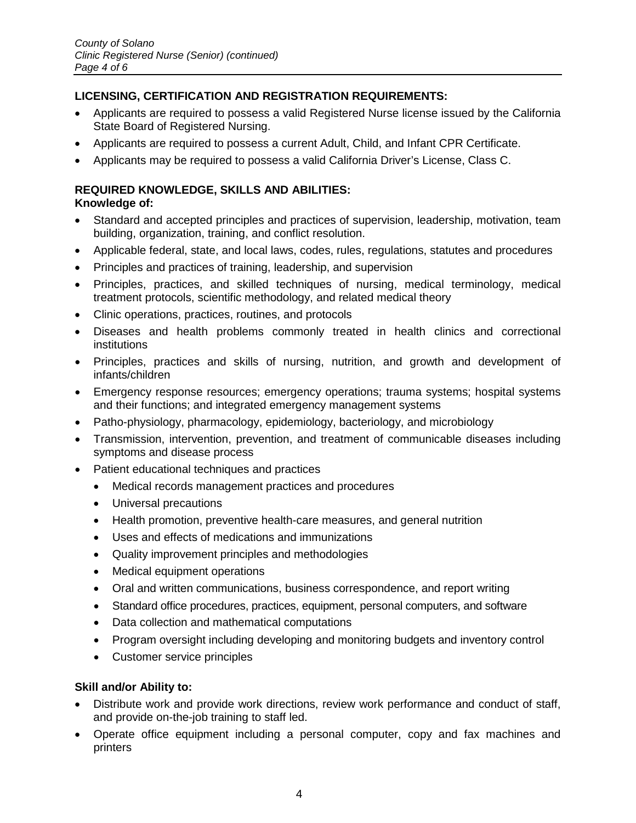### **LICENSING, CERTIFICATION AND REGISTRATION REQUIREMENTS:**

- Applicants are required to possess a valid Registered Nurse license issued by the California State Board of Registered Nursing.
- Applicants are required to possess a current Adult, Child, and Infant CPR Certificate.
- Applicants may be required to possess a valid California Driver's License, Class C.

## **REQUIRED KNOWLEDGE, SKILLS AND ABILITIES:**

### **Knowledge of:**

- Standard and accepted principles and practices of supervision, leadership, motivation, team building, organization, training, and conflict resolution.
- Applicable federal, state, and local laws, codes, rules, regulations, statutes and procedures
- Principles and practices of training, leadership, and supervision
- Principles, practices, and skilled techniques of nursing, medical terminology, medical treatment protocols, scientific methodology, and related medical theory
- Clinic operations, practices, routines, and protocols
- Diseases and health problems commonly treated in health clinics and correctional institutions
- Principles, practices and skills of nursing, nutrition, and growth and development of infants/children
- Emergency response resources; emergency operations; trauma systems; hospital systems and their functions; and integrated emergency management systems
- Patho-physiology, pharmacology, epidemiology, bacteriology, and microbiology
- Transmission, intervention, prevention, and treatment of communicable diseases including symptoms and disease process
- Patient educational techniques and practices
	- Medical records management practices and procedures
	- Universal precautions
	- Health promotion, preventive health-care measures, and general nutrition
	- Uses and effects of medications and immunizations
	- Quality improvement principles and methodologies
	- Medical equipment operations
	- Oral and written communications, business correspondence, and report writing
	- Standard office procedures, practices, equipment, personal computers, and software
	- Data collection and mathematical computations
	- Program oversight including developing and monitoring budgets and inventory control
	- Customer service principles

#### **Skill and/or Ability to:**

- Distribute work and provide work directions, review work performance and conduct of staff, and provide on-the-job training to staff led.
- Operate office equipment including a personal computer, copy and fax machines and printers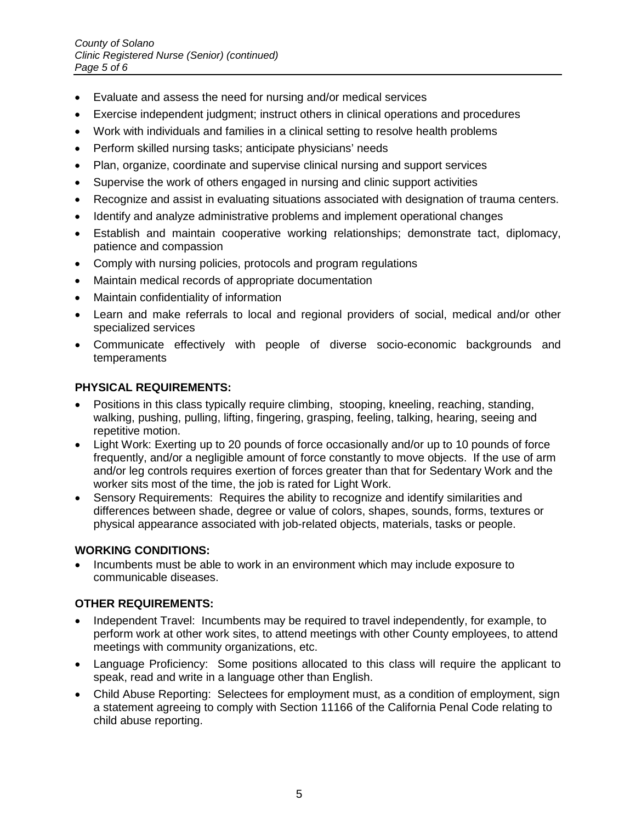- Evaluate and assess the need for nursing and/or medical services
- Exercise independent judgment; instruct others in clinical operations and procedures
- Work with individuals and families in a clinical setting to resolve health problems
- Perform skilled nursing tasks; anticipate physicians' needs
- Plan, organize, coordinate and supervise clinical nursing and support services
- Supervise the work of others engaged in nursing and clinic support activities
- Recognize and assist in evaluating situations associated with designation of trauma centers.
- Identify and analyze administrative problems and implement operational changes
- Establish and maintain cooperative working relationships; demonstrate tact, diplomacy, patience and compassion
- Comply with nursing policies, protocols and program regulations
- Maintain medical records of appropriate documentation
- Maintain confidentiality of information
- Learn and make referrals to local and regional providers of social, medical and/or other specialized services
- Communicate effectively with people of diverse socio-economic backgrounds and temperaments

## **PHYSICAL REQUIREMENTS:**

- Positions in this class typically require climbing, stooping, kneeling, reaching, standing, walking, pushing, pulling, lifting, fingering, grasping, feeling, talking, hearing, seeing and repetitive motion.
- Light Work: Exerting up to 20 pounds of force occasionally and/or up to 10 pounds of force frequently, and/or a negligible amount of force constantly to move objects. If the use of arm and/or leg controls requires exertion of forces greater than that for Sedentary Work and the worker sits most of the time, the job is rated for Light Work.
- Sensory Requirements: Requires the ability to recognize and identify similarities and differences between shade, degree or value of colors, shapes, sounds, forms, textures or physical appearance associated with job-related objects, materials, tasks or people.

## **WORKING CONDITIONS:**

• Incumbents must be able to work in an environment which may include exposure to communicable diseases.

## **OTHER REQUIREMENTS:**

- Independent Travel: Incumbents may be required to travel independently, for example, to perform work at other work sites, to attend meetings with other County employees, to attend meetings with community organizations, etc.
- Language Proficiency: Some positions allocated to this class will require the applicant to speak, read and write in a language other than English.
- Child Abuse Reporting: Selectees for employment must, as a condition of employment, sign a statement agreeing to comply with Section 11166 of the California Penal Code relating to child abuse reporting.